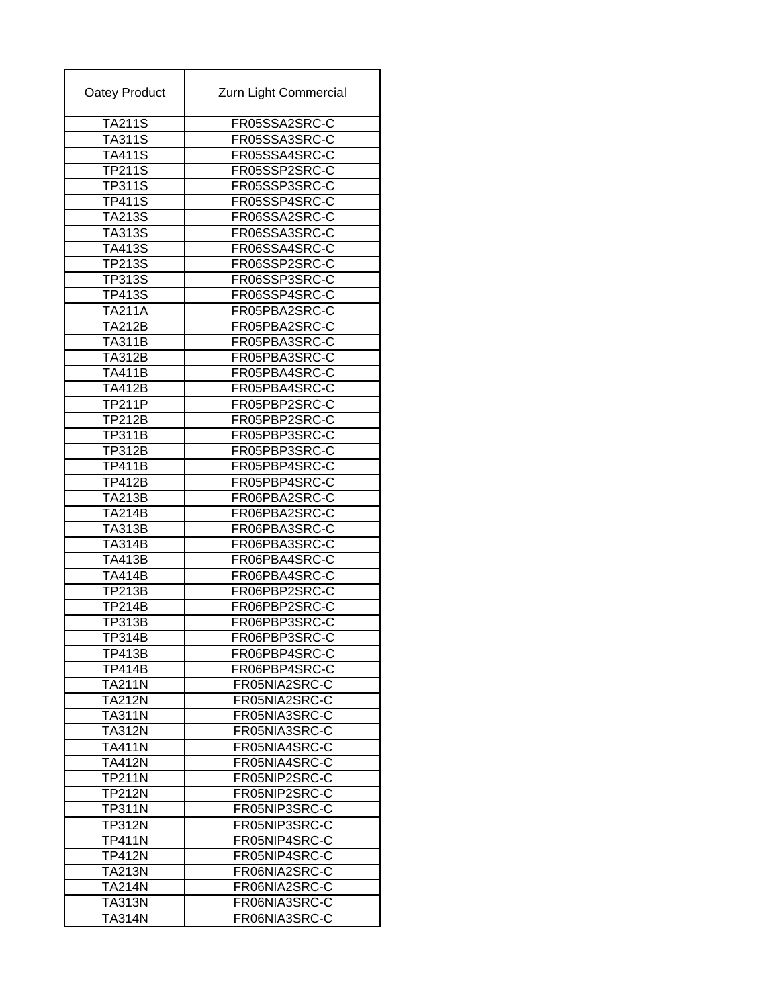| Oatey Product                  | <b>Zurn Light Commercial</b>   |
|--------------------------------|--------------------------------|
| <b>TA211S</b>                  | FR05SSA2SRC-C                  |
| <b>TA311S</b>                  | FR05SSA3SRC-C                  |
| <b>TA411S</b>                  | FR05SSA4SRC-C                  |
| <b>TP211S</b>                  | FR05SSP2SRC-C                  |
| <b>TP311S</b>                  | FR05SSP3SRC-C                  |
| <b>TP411S</b>                  | FR05SSP4SRC-C                  |
| TA213S                         | FR06SSA2SRC-C                  |
| <b>TA313S</b>                  | FR06SSA3SRC-C                  |
| <b>TA413S</b>                  | FR06SSA4SRC-C                  |
| TP213S                         | FR06SSP2SRC-C                  |
| <b>TP313S</b>                  | FR06SSP3SRC-C                  |
| <b>TP413S</b>                  | FR06SSP4SRC-C                  |
| TA211A                         | FR05PBA2SRC-C                  |
| <b>TA212B</b>                  | FR05PBA2SRC-C                  |
| <b>TA311B</b>                  | FR05PBA3SRC-C                  |
| <b>TA312B</b>                  | FR05PBA3SRC-C                  |
| TA411B                         | FR05PBA4SRC-C                  |
| <b>TA412B</b>                  | FR05PBA4SRC-C                  |
| <b>TP211P</b>                  | FR05PBP2SRC-C                  |
| <b>TP212B</b>                  | FR05PBP2SRC-C                  |
| <b>TP311B</b>                  | FR05PBP3SRC-C                  |
| <b>TP312B</b>                  | FR05PBP3SRC-C                  |
| <b>TP411B</b>                  | FR05PBP4SRC-C                  |
|                                |                                |
| <b>TP412B</b><br><b>TA213B</b> | FR05PBP4SRC-C<br>FR06PBA2SRC-C |
| <b>TA214B</b>                  |                                |
| <b>TA313B</b>                  | FR06PBA2SRC-C<br>FR06PBA3SRC-C |
| <b>TA314B</b>                  | FR06PBA3SRC-C                  |
|                                | FR06PBA4SRC-C                  |
| <b>TA413B</b><br><b>TA414B</b> | FR06PBA4SRC-C                  |
| <b>TP213B</b>                  | FR06PBP2SRC-C                  |
| <b>TP214B</b>                  |                                |
| <b>TP313B</b>                  | FR06PBP2SRC-C<br>FR06PBP3SRC-C |
| TP314B                         | FR06PBP3SRC-C                  |
|                                |                                |
| <b>TP413B</b>                  | FR06PBP4SRC-C                  |
| <b>TP414B</b><br><b>TA211N</b> | FR06PBP4SRC-C                  |
| <b>TA212N</b>                  | FR05NIA2SRC-C<br>FR05NIA2SRC-C |
| <b>TA311N</b>                  | FR05NIA3SRC-C                  |
|                                | FR05NIA3SRC-C                  |
| <b>TA312N</b>                  |                                |
| <b>TA411N</b>                  | FR05NIA4SRC-C                  |
| <b>TA412N</b>                  | FR05NIA4SRC-C                  |
| <b>TP211N</b>                  | FR05NIP2SRC-C                  |
| TP212N                         | FR05NIP2SRC-C                  |
| TP311N                         | FR05NIP3SRC-C                  |
| <b>TP312N</b>                  | FR05NIP3SRC-C                  |
| <b>TP411N</b>                  | FR05NIP4SRC-C                  |
| <b>TP412N</b>                  | FR05NIP4SRC-C                  |
| <b>TA213N</b>                  | FR06NIA2SRC-C                  |
| <b>TA214N</b>                  | FR06NIA2SRC-C                  |
| <b>TA313N</b>                  | FR06NIA3SRC-C                  |
| <b>TA314N</b>                  | FR06NIA3SRC-C                  |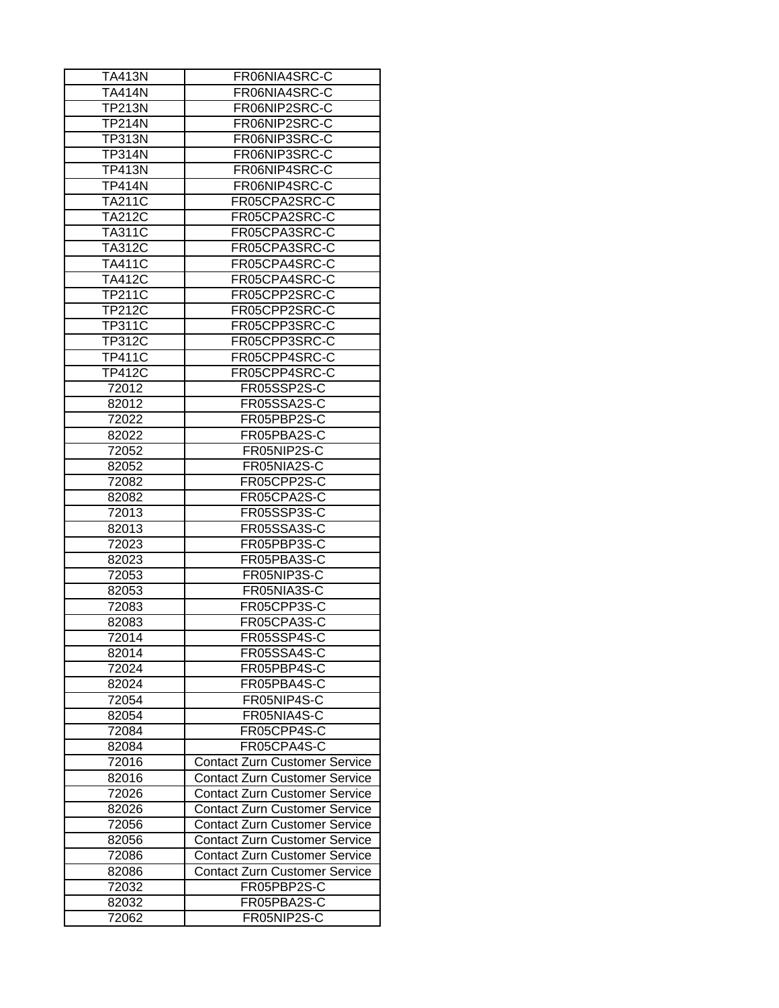| TA413N        | FR06NIA4SRC-C                        |
|---------------|--------------------------------------|
| TA414N        | FR06NIA4SRC-C                        |
| <b>TP213N</b> | FR06NIP2SRC-C                        |
| <b>TP214N</b> | FR06NIP2SRC-C                        |
| <b>TP313N</b> | FR06NIP3SRC-C                        |
| <b>TP314N</b> | FR06NIP3SRC-C                        |
| <b>TP413N</b> | FR06NIP4SRC-C                        |
| <b>TP414N</b> | FR06NIP4SRC-C                        |
| <b>TA211C</b> | FR05CPA2SRC-C                        |
| <b>TA212C</b> | FR05CPA2SRC-C                        |
| <b>TA311C</b> | FR05CPA3SRC-C                        |
| <b>TA312C</b> | FR05CPA3SRC-C                        |
| <b>TA411C</b> | FR05CPA4SRC-C                        |
| <b>TA412C</b> | FR05CPA4SRC-C                        |
| TP211C        | FR05CPP2SRC-C                        |
| TP212C        | FR05CPP2SRC-C                        |
| <b>TP311C</b> | FR05CPP3SRC-C                        |
| <b>TP312C</b> | FR05CPP3SRC-C                        |
| <b>TP411C</b> | FR05CPP4SRC-C                        |
| <b>TP412C</b> | FR05CPP4SRC-C                        |
| 72012         | FR05SSP2S-C                          |
|               | FR05SSA2S-C                          |
| 82012         |                                      |
| 72022         | FR05PBP2S-C                          |
| 82022         | FR05PBA2S-C                          |
| 72052         | FR05NIP2S-C                          |
| 82052         | FR05NIA2S-C                          |
| 72082         | FR05CPP2S-C                          |
| 82082         | FR05CPA2S-C                          |
| 72013         | FR05SSP3S-C                          |
| 82013         | FR05SSA3S-C                          |
| 72023         | FR05PBP3S-C                          |
| 82023         | FR05PBA3S-C                          |
| 72053         | FR05NIP3S-C                          |
| 82053         | FR05NIA3S-C                          |
| 72083         | FR05CPP3S-C                          |
| 82083         | FR05CPA3S-C                          |
| 72014         | FR05SSP4S-C                          |
| 82014         | FR05SSA4S-C                          |
| 72024         | FR05PBP4S-C                          |
| 82024         | FR05PBA4S-C                          |
| 72054         | FR05NIP4S-C                          |
| 82054         | FR05NIA4S-C                          |
| 72084         | FR05CPP4S-C                          |
| 82084         | FR05CPA4S-C                          |
| 72016         | <b>Contact Zurn Customer Service</b> |
| 82016         | <b>Contact Zurn Customer Service</b> |
| 72026         | <b>Contact Zurn Customer Service</b> |
| 82026         | <b>Contact Zurn Customer Service</b> |
| 72056         | <b>Contact Zurn Customer Service</b> |
| 82056         | <b>Contact Zurn Customer Service</b> |
| 72086         | <b>Contact Zurn Customer Service</b> |
|               | Contact Zurn Customer Service        |
| 82086         |                                      |
| 72032         | FR05PBP2S-C                          |
| 82032         | FR05PBA2S-C                          |
| 72062         | FR05NIP2S-C                          |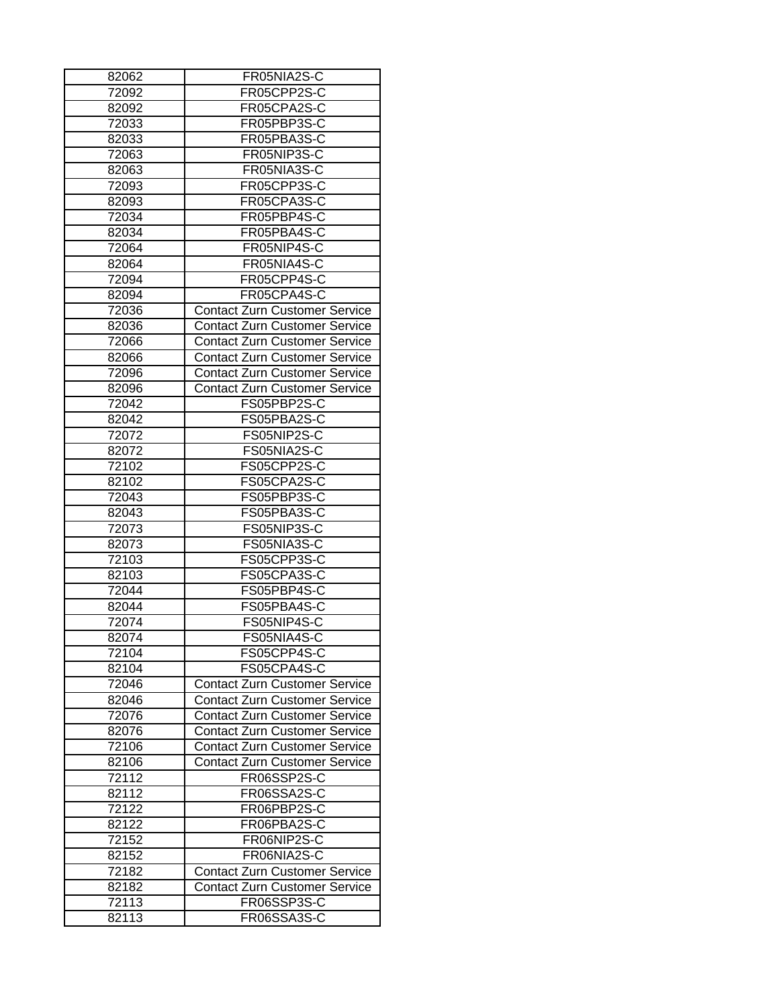| 82062             | FR05NIA2S-C                          |
|-------------------|--------------------------------------|
| 72092             | FR05CPP2S-C                          |
| 82092             | FR05CPA2S-C                          |
| 72033             | FR05PBP3S-C                          |
| 82033             | FR05PBA3S-C                          |
| 72063             | FR05NIP3S-C                          |
| 82063             | FR05NIA3S-C                          |
| 72093             | FR05CPP3S-C                          |
| 82093             | FR05CPA3S-C                          |
| 72034             | FR05PBP4S-C                          |
| 82034             | FR05PBA4S-C                          |
| 72064             | FR05NIP4S-C                          |
| 82064             | FR05NIA4S-C                          |
| 72094             | FR05CPP4S-C                          |
| 82094             | FR05CPA4S-C                          |
| 72036             | <b>Contact Zurn Customer Service</b> |
| 82036             | <b>Contact Zurn Customer Service</b> |
| 72066             | <b>Contact Zurn Customer Service</b> |
| 82066             | <b>Contact Zurn Customer Service</b> |
| 72096             | <b>Contact Zurn Customer Service</b> |
| 82096             | <b>Contact Zurn Customer Service</b> |
| 72042             | FS05PBP2S-C                          |
| 82042             | FS05PBA2S-C                          |
| 72072             | FS05NIP2S-C                          |
| 82072             | FS05NIA2S-C                          |
| 72102             | FS05CPP2S-C                          |
| 82102             | FS05CPA2S-C                          |
| 72043             | FS05PBP3S-C                          |
| 82043             | FS05PBA3S-C                          |
| 72073             | FS05NIP3S-C                          |
| 82073             | FS05NIA3S-C                          |
| 72103             | FS05CPP3S-C                          |
| 82103             | FS05CPA3S-C                          |
| 72044             | FS05PBP4S-C                          |
| 82044             | FS05PBA4S-C                          |
|                   |                                      |
| 72074             | FS05NIP4S-C                          |
| 82074             | FS05NIA4S-C                          |
| 72104             | FS05CPP4S-C                          |
| 82104             | FS05CPA4S-C                          |
| 72046             | <b>Contact Zurn Customer Service</b> |
| 82046             | <b>Contact Zurn Customer Service</b> |
| 72076             | <b>Contact Zurn Customer Service</b> |
| 82076             | <b>Contact Zurn Customer Service</b> |
| 72106             | <b>Contact Zurn Customer Service</b> |
| 82106             | <b>Contact Zurn Customer Service</b> |
| $\frac{1}{72112}$ | FR06SSP2S-C                          |
| 82112             | FR06SSA2S-C                          |
| 72122             | FR06PBP2S-C                          |
| 82122             | FR06PBA2S-C                          |
| 72152             | FR06NIP2S-C                          |
| 82152             | FR06NIA2S-C                          |
| 72182             | <b>Contact Zurn Customer Service</b> |
| 82182             | <b>Contact Zurn Customer Service</b> |
| 72113             | FR06SSP3S-C                          |
| 82113             | FR06SSA3S-C                          |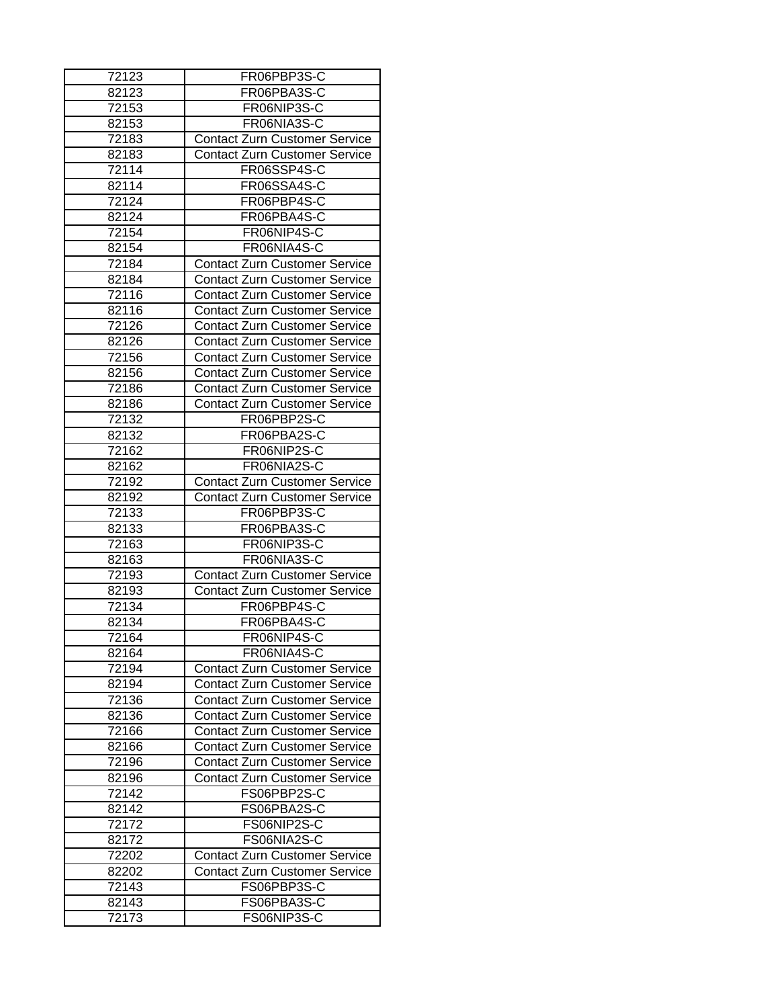| 72123              | FR06PBP3S-C                          |
|--------------------|--------------------------------------|
| 82123              | FR06PBA3S-C                          |
| 72153              | FR06NIP3S-C                          |
| 82153              | FR06NIA3S-C                          |
| 72183              | <b>Contact Zurn Customer Service</b> |
| 82183              | <b>Contact Zurn Customer Service</b> |
| $7211\overline{4}$ | FR06SSP4S-C                          |
| 82114              | FR06SSA4S-C                          |
| 72124              | FR06PBP4S-C                          |
| 82124              | FR06PBA4S-C                          |
| 72154              | FR06NIP4S-C                          |
| 82154              | FR06NIA4S-C                          |
| 72184              | <b>Contact Zurn Customer Service</b> |
| 82184              | <b>Contact Zurn Customer Service</b> |
| 72116              | <b>Contact Zurn Customer Service</b> |
| 82116              | <b>Contact Zurn Customer Service</b> |
| 72126              | <b>Contact Zurn Customer Service</b> |
| 82126              | <b>Contact Zurn Customer Service</b> |
| 72156              | <b>Contact Zurn Customer Service</b> |
| 82156              |                                      |
|                    | <b>Contact Zurn Customer Service</b> |
| 72186              | <b>Contact Zurn Customer Service</b> |
| 82186              | <b>Contact Zurn Customer Service</b> |
| 72132              | FR06PBP2S-C                          |
| 82132              | FR06PBA2S-C                          |
| 72162              | FR06NIP2S-C                          |
| 82162              | FR06NIA2S-C                          |
| 72192              | <b>Contact Zurn Customer Service</b> |
| 82192              | <b>Contact Zurn Customer Service</b> |
| 72133              | FR06PBP3S-C                          |
| 82133              | FR06PBA3S-C                          |
| 72163              | FR06NIP3S-C                          |
| 82163              | FR06NIA3S-C                          |
| 72193              | <b>Contact Zurn Customer Service</b> |
| 82193              | <b>Contact Zurn Customer Service</b> |
| 72134              | FR06PBP4S-C                          |
| 82134              | FR06PBA4S-C                          |
| 72164              | FR06NIP4S-C                          |
| 82164              | FR06NIA4S-C                          |
| 72194              | <b>Contact Zurn Customer Service</b> |
| 82194              | <b>Contact Zurn Customer Service</b> |
| 72136              | Contact Zurn Customer Service        |
| 82136              | <b>Contact Zurn Customer Service</b> |
| 72166              | <b>Contact Zurn Customer Service</b> |
| 82166              | <b>Contact Zurn Customer Service</b> |
| 72196              | <b>Contact Zurn Customer Service</b> |
| 82196              | <b>Contact Zurn Customer Service</b> |
| 72142              | FS06PBP2S-C                          |
| 82142              | FS06PBA2S-C                          |
| 72172              | FS06NIP2S-C                          |
| 82172              | FS06NIA2S-C                          |
| 72202              | <b>Contact Zurn Customer Service</b> |
|                    |                                      |
| 82202              | <b>Contact Zurn Customer Service</b> |
| 72143              | FS06PBP3S-C                          |
| 82143              | FS06PBA3S-C                          |
| 72173              | FS06NIP3S-C                          |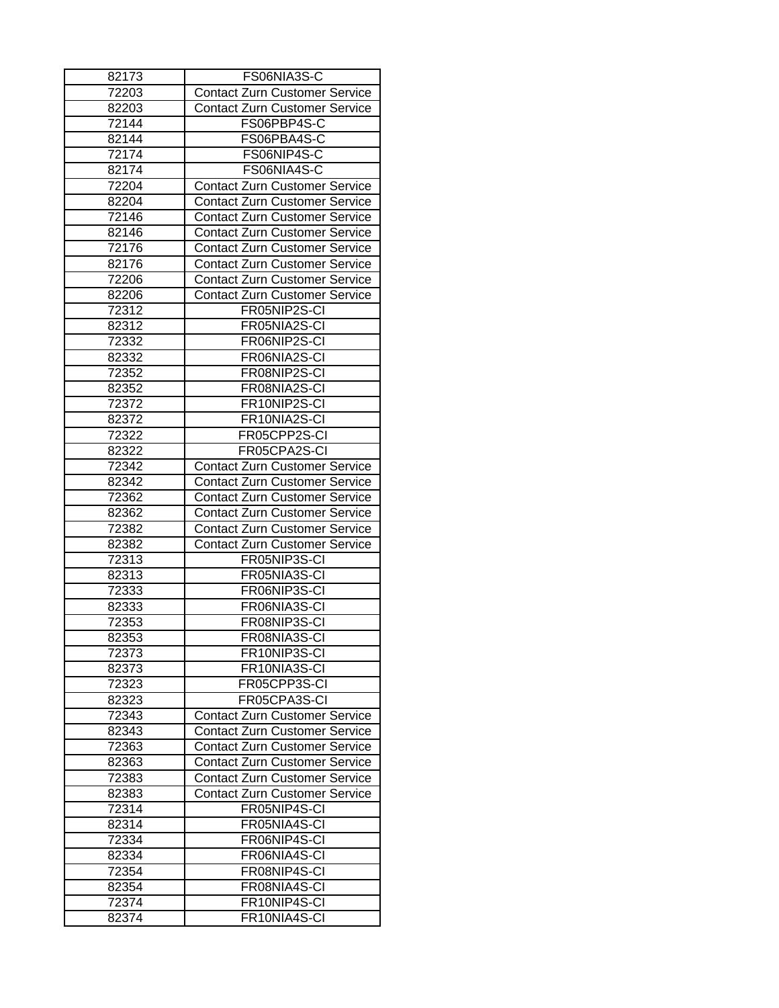| 82173 | FS06NIA3S-C                          |
|-------|--------------------------------------|
| 72203 | <b>Contact Zurn Customer Service</b> |
| 82203 | <b>Contact Zurn Customer Service</b> |
| 72144 | FS06PBP4S-C                          |
| 82144 | FS06PBA4S-C                          |
| 72174 | FS06NIP4S-C                          |
| 82174 | FS06NIA4S-C                          |
| 72204 | <b>Contact Zurn Customer Service</b> |
| 82204 | <b>Contact Zurn Customer Service</b> |
| 72146 | <b>Contact Zurn Customer Service</b> |
| 82146 | <b>Contact Zurn Customer Service</b> |
| 72176 | <b>Contact Zurn Customer Service</b> |
| 82176 | <b>Contact Zurn Customer Service</b> |
| 72206 | Contact Zurn Customer Service        |
| 82206 | <b>Contact Zurn Customer Service</b> |
| 72312 | FR05NIP2S-CI                         |
| 82312 | FR05NIA2S-CI                         |
| 72332 | FR06NIP2S-CI                         |
|       | FR06NIA2S-CI                         |
| 82332 | FR08NIP2S-CI                         |
| 72352 |                                      |
| 82352 | FR08NIA2S-CI                         |
| 72372 | FR10NIP2S-CI                         |
| 82372 | FR10NIA2S-CI                         |
| 72322 | FR05CPP2S-CI                         |
| 82322 | FR05CPA2S-CI                         |
| 72342 | <b>Contact Zurn Customer Service</b> |
| 82342 | <b>Contact Zurn Customer Service</b> |
| 72362 | <b>Contact Zurn Customer Service</b> |
| 82362 | <b>Contact Zurn Customer Service</b> |
| 72382 | <b>Contact Zurn Customer Service</b> |
| 82382 | <b>Contact Zurn Customer Service</b> |
| 72313 | FR05NIP3S-CI                         |
| 82313 | FR05NIA3S-CI                         |
| 72333 | FR06NIP3S-CI                         |
| 82333 | FR06NIA3S-CI                         |
| 72353 | FR08NIP3S-CI                         |
| 82353 | FR08NIA3S-CI                         |
| 72373 | FR10NIP3S-CI                         |
| 82373 | FR10NIA3S-CI                         |
| 72323 | FR05CPP3S-CI                         |
| 82323 | FR05CPA3S-CI                         |
| 72343 | <b>Contact Zurn Customer Service</b> |
| 82343 | <b>Contact Zurn Customer Service</b> |
| 72363 | <b>Contact Zurn Customer Service</b> |
| 82363 | <b>Contact Zurn Customer Service</b> |
| 72383 | <b>Contact Zurn Customer Service</b> |
| 82383 | <b>Contact Zurn Customer Service</b> |
| 72314 | FR05NIP4S-CI                         |
| 82314 | FR05NIA4S-CI                         |
| 72334 | FR06NIP4S-CI                         |
| 82334 | FR06NIA4S-CI                         |
| 72354 | FR08NIP4S-CI                         |
| 82354 | FR08NIA4S-CI                         |
|       |                                      |
| 72374 | FR10NIP4S-CI                         |
| 82374 | FR10NIA4S-CI                         |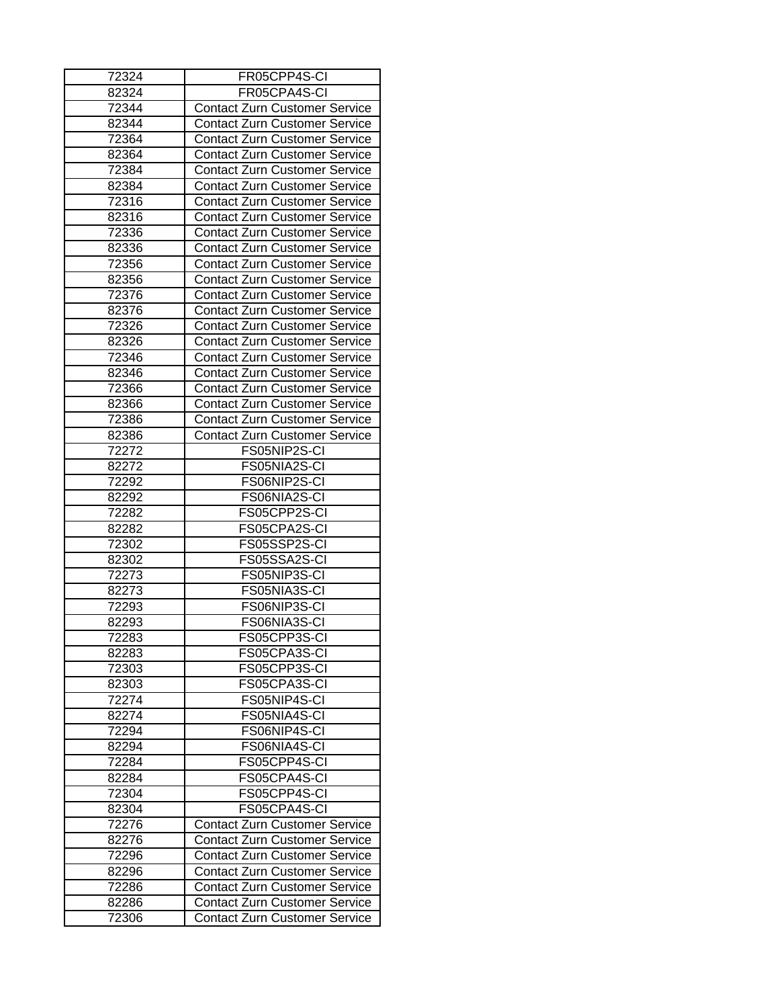| 72324 | FR05CPP4S-CI                         |
|-------|--------------------------------------|
| 82324 | FR05CPA4S-CI                         |
| 72344 | <b>Contact Zurn Customer Service</b> |
| 82344 | <b>Contact Zurn Customer Service</b> |
| 72364 | <b>Contact Zurn Customer Service</b> |
| 82364 | <b>Contact Zurn Customer Service</b> |
| 72384 | <b>Contact Zurn Customer Service</b> |
| 82384 | <b>Contact Zurn Customer Service</b> |
| 72316 | <b>Contact Zurn Customer Service</b> |
| 82316 | <b>Contact Zurn Customer Service</b> |
| 72336 | <b>Contact Zurn Customer Service</b> |
| 82336 | <b>Contact Zurn Customer Service</b> |
| 72356 | <b>Contact Zurn Customer Service</b> |
| 82356 | <b>Contact Zurn Customer Service</b> |
| 72376 | <b>Contact Zurn Customer Service</b> |
| 82376 | <b>Contact Zurn Customer Service</b> |
| 72326 | <b>Contact Zurn Customer Service</b> |
| 82326 | <b>Contact Zurn Customer Service</b> |
| 72346 | <b>Contact Zurn Customer Service</b> |
| 82346 | <b>Contact Zurn Customer Service</b> |
| 72366 | <b>Contact Zurn Customer Service</b> |
| 82366 | <b>Contact Zurn Customer Service</b> |
| 72386 | <b>Contact Zurn Customer Service</b> |
| 82386 | <b>Contact Zurn Customer Service</b> |
| 72272 | FS05NIP2S-CI                         |
| 82272 | FS05NIA2S-CI                         |
| 72292 | FS06NIP2S-CI                         |
| 82292 | FS06NIA2S-CI                         |
| 72282 | FS05CPP2S-CI                         |
| 82282 | FS05CPA2S-CI                         |
| 72302 | FS05SSP2S-CI                         |
| 82302 | FS05SSA2S-CI                         |
| 72273 | FS05NIP3S-CI                         |
| 82273 | FS05NIA3S-CI                         |
| 72293 | FS06NIP3S-CI                         |
| 82293 | FS06NIA3S-CI                         |
| 72283 | FS05CPP3S-CI                         |
| 82283 | FS05CPA3S-CI                         |
| 72303 | FS05CPP3S-CI                         |
| 82303 | FS05CPA3S-CI                         |
| 72274 | FS05NIP4S-CI                         |
| 82274 | FS05NIA4S-CI                         |
| 72294 | FS06NIP4S-CI                         |
| 82294 | FS06NIA4S-CI                         |
| 72284 | FS05CPP4S-CI                         |
| 82284 | FS05CPA4S-CI                         |
|       | FS05CPP4S-CI                         |
| 72304 | FS05CPA4S-CI                         |
| 82304 |                                      |
| 72276 | <b>Contact Zurn Customer Service</b> |
| 82276 | <b>Contact Zurn Customer Service</b> |
| 72296 | <b>Contact Zurn Customer Service</b> |
| 82296 | <b>Contact Zurn Customer Service</b> |
| 72286 | <b>Contact Zurn Customer Service</b> |
| 82286 | <b>Contact Zurn Customer Service</b> |
| 72306 | <b>Contact Zurn Customer Service</b> |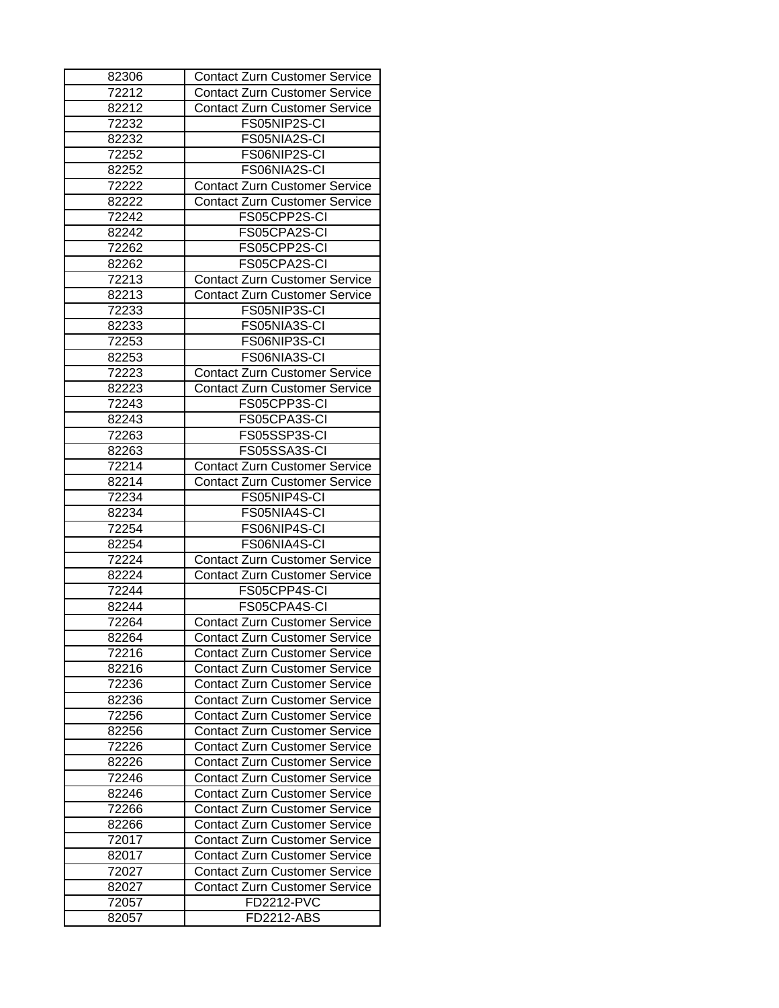| 82306 | <b>Contact Zurn Customer Service</b> |
|-------|--------------------------------------|
| 72212 | <b>Contact Zurn Customer Service</b> |
| 82212 | <b>Contact Zurn Customer Service</b> |
| 72232 | FS05NIP2S-CI                         |
| 82232 | FS05NIA2S-CI                         |
| 72252 | FS06NIP2S-CI                         |
| 82252 | FS06NIA2S-CI                         |
| 72222 | <b>Contact Zurn Customer Service</b> |
| 82222 | <b>Contact Zurn Customer Service</b> |
| 72242 | FS05CPP2S-CI                         |
| 82242 | FS05CPA2S-CI                         |
| 72262 | FS05CPP2S-CI                         |
| 82262 | FS05CPA2S-CI                         |
| 72213 | <b>Contact Zurn Customer Service</b> |
| 82213 | <b>Contact Zurn Customer Service</b> |
| 72233 | FS05NIP3S-CI                         |
| 82233 | FS05NIA3S-CI                         |
| 72253 | FS06NIP3S-CI                         |
| 82253 | FS06NIA3S-CI                         |
| 72223 | <b>Contact Zurn Customer Service</b> |
| 82223 | <b>Contact Zurn Customer Service</b> |
| 72243 | FS05CPP3S-CI                         |
| 82243 | FS05CPA3S-CI                         |
| 72263 | FS05SSP3S-CI                         |
| 82263 | FS05SSA3S-CI                         |
| 72214 | <b>Contact Zurn Customer Service</b> |
| 82214 | <b>Contact Zurn Customer Service</b> |
| 72234 | FS05NIP4S-CI                         |
| 82234 | FS05NIA4S-CI                         |
| 72254 | FS06NIP4S-CI                         |
| 82254 | FS06NIA4S-CI                         |
| 72224 | <b>Contact Zurn Customer Service</b> |
| 82224 | <b>Contact Zurn Customer Service</b> |
|       | FS05CPP4S-CI                         |
| 72244 |                                      |
| 82244 | FS05CPA4S-CI                         |
| 72264 | <b>Contact Zurn Customer Service</b> |
| 82264 | <b>Contact Zurn Customer Service</b> |
| 72216 | <b>Contact Zurn Customer Service</b> |
| 82216 | <b>Contact Zurn Customer Service</b> |
| 72236 | <b>Contact Zurn Customer Service</b> |
| 82236 | <b>Contact Zurn Customer Service</b> |
| 72256 | <b>Contact Zurn Customer Service</b> |
| 82256 | <b>Contact Zurn Customer Service</b> |
| 72226 | <b>Contact Zurn Customer Service</b> |
| 82226 | <b>Contact Zurn Customer Service</b> |
| 72246 | <b>Contact Zurn Customer Service</b> |
| 82246 | <b>Contact Zurn Customer Service</b> |
| 72266 | <b>Contact Zurn Customer Service</b> |
| 82266 | <b>Contact Zurn Customer Service</b> |
| 72017 | <b>Contact Zurn Customer Service</b> |
| 82017 | <b>Contact Zurn Customer Service</b> |
| 72027 | <b>Contact Zurn Customer Service</b> |
| 82027 | <b>Contact Zurn Customer Service</b> |
| 72057 | <b>FD2212-PVC</b>                    |
| 82057 | FD2212-ABS                           |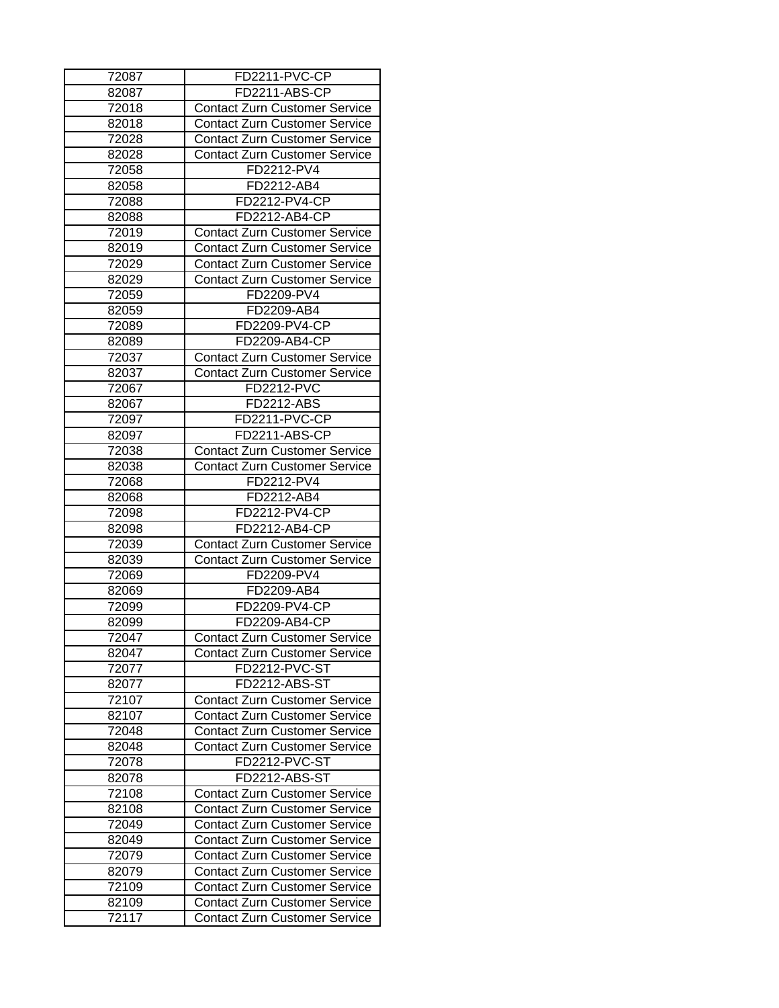| 72087 | FD2211-PVC-CP                        |
|-------|--------------------------------------|
| 82087 | FD2211-ABS-CP                        |
| 72018 | <b>Contact Zurn Customer Service</b> |
| 82018 | Contact Zurn Customer Service        |
| 72028 | <b>Contact Zurn Customer Service</b> |
| 82028 | <b>Contact Zurn Customer Service</b> |
| 72058 | FD2212-PV4                           |
| 82058 | FD2212-AB4                           |
| 72088 | FD2212-PV4-CP                        |
| 82088 | FD2212-AB4-CP                        |
| 72019 | <b>Contact Zurn Customer Service</b> |
| 82019 | <b>Contact Zurn Customer Service</b> |
| 72029 | <b>Contact Zurn Customer Service</b> |
| 82029 | <b>Contact Zurn Customer Service</b> |
| 72059 | FD2209-PV4                           |
| 82059 | FD2209-AB4                           |
| 72089 | FD2209-PV4-CP                        |
| 82089 | FD2209-AB4-CP                        |
| 72037 | <b>Contact Zurn Customer Service</b> |
| 82037 | <b>Contact Zurn Customer Service</b> |
| 72067 | <b>FD2212-PVC</b>                    |
| 82067 | FD2212-ABS                           |
| 72097 | FD2211-PVC-CP                        |
| 82097 | FD2211-ABS-CP                        |
| 72038 | <b>Contact Zurn Customer Service</b> |
| 82038 | <b>Contact Zurn Customer Service</b> |
| 72068 | FD2212-PV4                           |
| 82068 | FD2212-AB4                           |
| 72098 | FD2212-PV4-CP                        |
| 82098 | FD2212-AB4-CP                        |
| 72039 | <b>Contact Zurn Customer Service</b> |
| 82039 | <b>Contact Zurn Customer Service</b> |
| 72069 | FD2209-PV4                           |
| 82069 | FD2209-AB4                           |
|       | FD2209-PV4-CP                        |
| 72099 |                                      |
| 82099 | FD2209-AB4-CP                        |
| 72047 | <b>Contact Zurn Customer Service</b> |
| 82047 | <b>Contact Zurn Customer Service</b> |
| 72077 | FD2212-PVC-ST<br>FD2212-ABS-ST       |
| 82077 |                                      |
| 72107 | <b>Contact Zurn Customer Service</b> |
| 82107 | <b>Contact Zurn Customer Service</b> |
| 72048 | <b>Contact Zurn Customer Service</b> |
| 82048 | <b>Contact Zurn Customer Service</b> |
| 72078 | FD2212-PVC-ST                        |
| 82078 | <b>FD2212-ABS-ST</b>                 |
| 72108 | <b>Contact Zurn Customer Service</b> |
| 82108 | <b>Contact Zurn Customer Service</b> |
| 72049 | <b>Contact Zurn Customer Service</b> |
| 82049 | <b>Contact Zurn Customer Service</b> |
| 72079 | <b>Contact Zurn Customer Service</b> |
| 82079 | <b>Contact Zurn Customer Service</b> |
| 72109 | <b>Contact Zurn Customer Service</b> |
| 82109 | <b>Contact Zurn Customer Service</b> |
| 72117 | <b>Contact Zurn Customer Service</b> |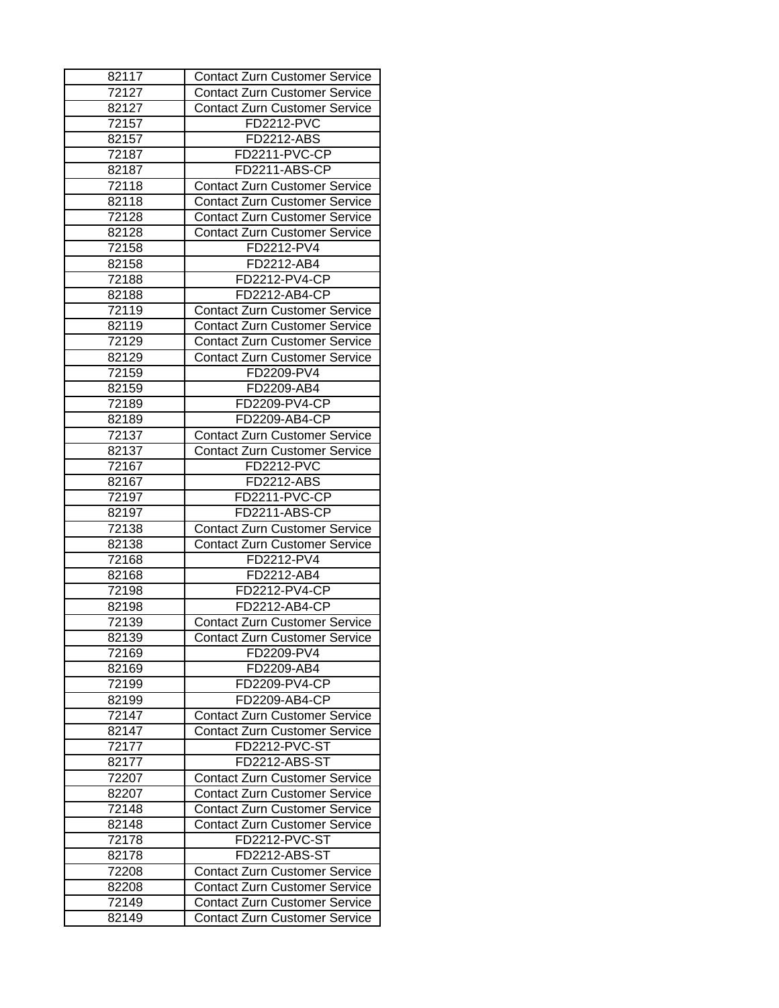| 82117 | <b>Contact Zurn Customer Service</b> |
|-------|--------------------------------------|
| 72127 | <b>Contact Zurn Customer Service</b> |
| 82127 | <b>Contact Zurn Customer Service</b> |
| 72157 | <b>FD2212-PVC</b>                    |
| 82157 | FD2212-ABS                           |
| 72187 | FD2211-PVC-CP                        |
| 82187 | FD2211-ABS-CP                        |
| 72118 | <b>Contact Zurn Customer Service</b> |
| 82118 | <b>Contact Zurn Customer Service</b> |
| 72128 | <b>Contact Zurn Customer Service</b> |
| 82128 | <b>Contact Zurn Customer Service</b> |
| 72158 | FD2212-PV4                           |
| 82158 | FD2212-AB4                           |
| 72188 | FD2212-PV4-CP                        |
| 82188 | FD2212-AB4-CP                        |
| 72119 | <b>Contact Zurn Customer Service</b> |
| 82119 | <b>Contact Zurn Customer Service</b> |
|       |                                      |
| 72129 | <b>Contact Zurn Customer Service</b> |
| 82129 | <b>Contact Zurn Customer Service</b> |
| 72159 | FD2209-PV4                           |
| 82159 | FD2209-AB4                           |
| 72189 | FD2209-PV4-CP                        |
| 82189 | FD2209-AB4-CP                        |
| 72137 | <b>Contact Zurn Customer Service</b> |
| 82137 | <b>Contact Zurn Customer Service</b> |
| 72167 | FD2212-PVC                           |
| 82167 | FD2212-ABS                           |
| 72197 | FD2211-PVC-CP                        |
| 82197 | FD2211-ABS-CP                        |
| 72138 | <b>Contact Zurn Customer Service</b> |
| 82138 | <b>Contact Zurn Customer Service</b> |
| 72168 | FD2212-PV4                           |
| 82168 | FD2212-AB4                           |
| 72198 | FD2212-PV4-CP                        |
| 82198 | FD2212-AB4-CP                        |
| 72139 | <b>Contact Zurn Customer Service</b> |
| 82139 | <b>Contact Zurn Customer Service</b> |
| 72169 | FD2209-PV4                           |
| 82169 | FD2209-AB4                           |
| 72199 | FD2209-PV4-CP                        |
| 82199 | FD2209-AB4-CP                        |
| 72147 | <b>Contact Zurn Customer Service</b> |
| 82147 | <b>Contact Zurn Customer Service</b> |
| 72177 | FD2212-PVC-ST                        |
| 82177 | <b>FD2212-ABS-ST</b>                 |
| 72207 | <b>Contact Zurn Customer Service</b> |
| 82207 | <b>Contact Zurn Customer Service</b> |
| 72148 | <b>Contact Zurn Customer Service</b> |
|       |                                      |
| 82148 | <b>Contact Zurn Customer Service</b> |
| 72178 | FD2212-PVC-ST                        |
| 82178 | FD2212-ABS-ST                        |
| 72208 | <b>Contact Zurn Customer Service</b> |
| 82208 | <b>Contact Zurn Customer Service</b> |
| 72149 | <b>Contact Zurn Customer Service</b> |
| 82149 | <b>Contact Zurn Customer Service</b> |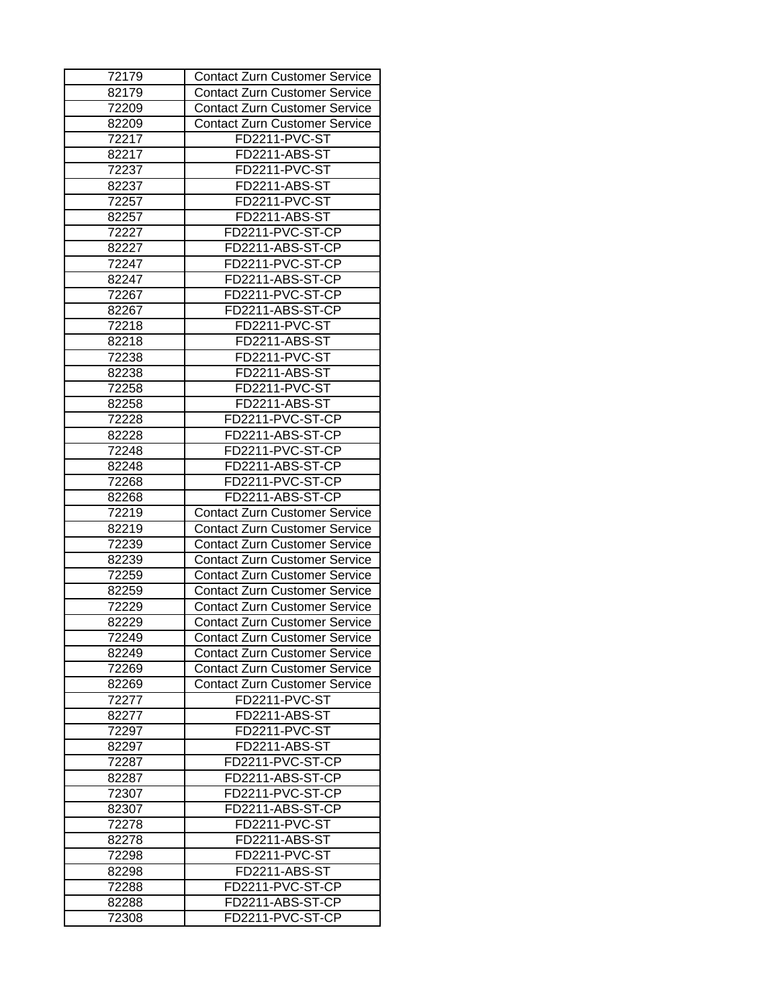| 72179 | <b>Contact Zurn Customer Service</b> |
|-------|--------------------------------------|
| 82179 | <b>Contact Zurn Customer Service</b> |
| 72209 | <b>Contact Zurn Customer Service</b> |
| 82209 | <b>Contact Zurn Customer Service</b> |
| 72217 | FD2211-PVC-ST                        |
| 82217 | FD2211-ABS-ST                        |
| 72237 | FD2211-PVC-ST                        |
| 82237 | FD2211-ABS-ST                        |
| 72257 | FD2211-PVC-ST                        |
| 82257 | FD2211-ABS-ST                        |
| 72227 | FD2211-PVC-ST-CP                     |
| 82227 | FD2211-ABS-ST-CP                     |
| 72247 | FD2211-PVC-ST-CP                     |
| 82247 | FD2211-ABS-ST-CP                     |
| 72267 | FD2211-PVC-ST-CP                     |
| 82267 | FD2211-ABS-ST-CP                     |
| 72218 | FD2211-PVC-ST                        |
| 82218 | FD2211-ABS-ST                        |
| 72238 | FD2211-PVC-ST                        |
| 82238 | FD2211-ABS-ST                        |
| 72258 | FD2211-PVC-ST                        |
| 82258 | FD2211-ABS-ST                        |
| 72228 | FD2211-PVC-ST-CP                     |
| 82228 | FD2211-ABS-ST-CP                     |
| 72248 | FD2211-PVC-ST-CP                     |
| 82248 | FD2211-ABS-ST-CP                     |
| 72268 | FD2211-PVC-ST-CP                     |
| 82268 | FD2211-ABS-ST-CP                     |
| 72219 | <b>Contact Zurn Customer Service</b> |
| 82219 | <b>Contact Zurn Customer Service</b> |
| 72239 | <b>Contact Zurn Customer Service</b> |
| 82239 | <b>Contact Zurn Customer Service</b> |
| 72259 | <b>Contact Zurn Customer Service</b> |
| 82259 | <b>Contact Zurn Customer Service</b> |
| 72229 | <b>Contact Zurn Customer Service</b> |
| 82229 | <b>Contact Zurn Customer Service</b> |
| 72249 | <b>Contact Zurn Customer Service</b> |
| 82249 | <b>Contact Zurn Customer Service</b> |
| 72269 | <b>Contact Zurn Customer Service</b> |
| 82269 | <b>Contact Zurn Customer Service</b> |
| 72277 | FD2211-PVC-ST                        |
| 82277 | FD2211-ABS-ST                        |
| 72297 | FD2211-PVC-ST                        |
| 82297 | FD2211-ABS-ST                        |
| 72287 | FD2211-PVC-ST-CP                     |
| 82287 | FD2211-ABS-ST-CP                     |
| 72307 | FD2211-PVC-ST-CP                     |
| 82307 | FD2211-ABS-ST-CP                     |
| 72278 | FD2211-PVC-ST                        |
| 82278 | FD2211-ABS-ST                        |
|       | FD2211-PVC-ST                        |
| 72298 |                                      |
| 82298 | FD2211-ABS-ST                        |
| 72288 | FD2211-PVC-ST-CP                     |
| 82288 | FD2211-ABS-ST-CP                     |
| 72308 | FD2211-PVC-ST-CP                     |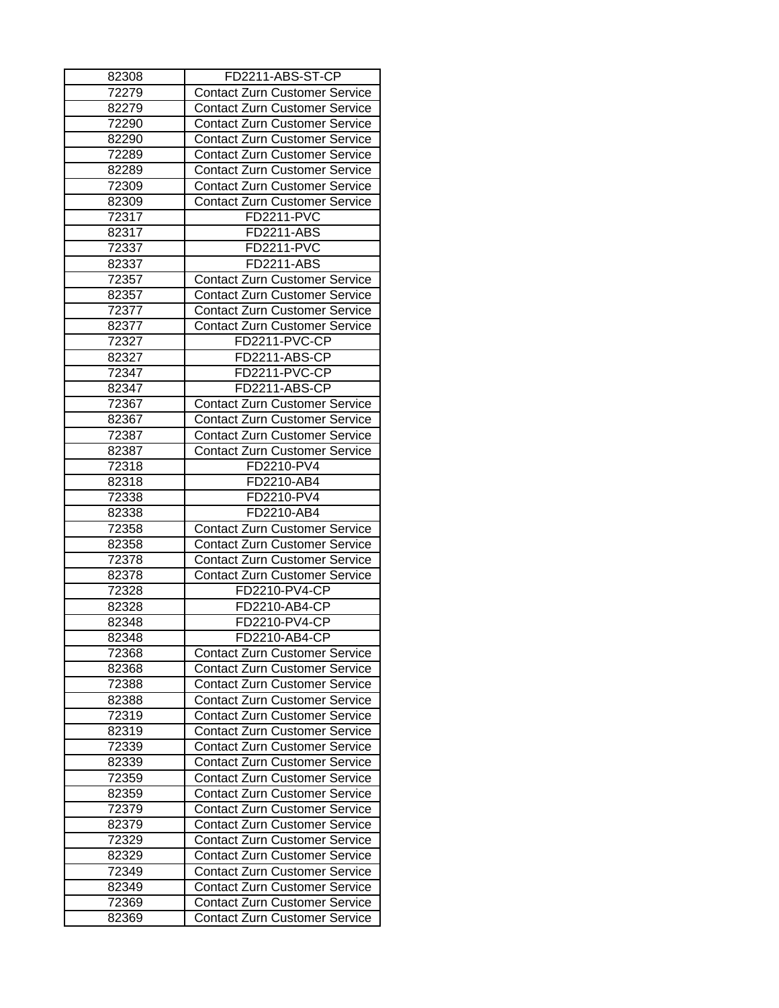| 82308 | FD2211-ABS-ST-CP                     |
|-------|--------------------------------------|
| 72279 | <b>Contact Zurn Customer Service</b> |
| 82279 | <b>Contact Zurn Customer Service</b> |
| 72290 | <b>Contact Zurn Customer Service</b> |
| 82290 | <b>Contact Zurn Customer Service</b> |
| 72289 | <b>Contact Zurn Customer Service</b> |
| 82289 | <b>Contact Zurn Customer Service</b> |
| 72309 | <b>Contact Zurn Customer Service</b> |
| 82309 | <b>Contact Zurn Customer Service</b> |
| 72317 | <b>FD2211-PVC</b>                    |
| 82317 | FD2211-ABS                           |
| 72337 | <b>FD2211-PVC</b>                    |
| 82337 | <b>FD2211-ABS</b>                    |
| 72357 | <b>Contact Zurn Customer Service</b> |
| 82357 | <b>Contact Zurn Customer Service</b> |
| 72377 | <b>Contact Zurn Customer Service</b> |
| 82377 | <b>Contact Zurn Customer Service</b> |
| 72327 | FD2211-PVC-CP                        |
| 82327 | FD2211-ABS-CP                        |
| 72347 | FD2211-PVC-CP                        |
| 82347 | FD2211-ABS-CP                        |
| 72367 | <b>Contact Zurn Customer Service</b> |
| 82367 | <b>Contact Zurn Customer Service</b> |
| 72387 | <b>Contact Zurn Customer Service</b> |
| 82387 | <b>Contact Zurn Customer Service</b> |
| 72318 | FD2210-PV4                           |
|       |                                      |
| 82318 | FD2210-AB4                           |
| 72338 | FD2210-PV4                           |
| 82338 | FD2210-AB4                           |
| 72358 | <b>Contact Zurn Customer Service</b> |
| 82358 | <b>Contact Zurn Customer Service</b> |
| 72378 | <b>Contact Zurn Customer Service</b> |
| 82378 | <b>Contact Zurn Customer Service</b> |
| 72328 | FD2210-PV4-CP                        |
| 82328 | FD2210-AB4-CP                        |
| 82348 | FD2210-PV4-CP                        |
| 82348 | FD2210-AB4-CP                        |
| 72368 | <b>Contact Zurn Customer Service</b> |
| 82368 | <b>Contact Zurn Customer Service</b> |
| 72388 | <b>Contact Zurn Customer Service</b> |
| 82388 | <b>Contact Zurn Customer Service</b> |
| 72319 | Contact Zurn Customer Service        |
| 82319 | <b>Contact Zurn Customer Service</b> |
| 72339 | <b>Contact Zurn Customer Service</b> |
| 82339 | <b>Contact Zurn Customer Service</b> |
| 72359 | <b>Contact Zurn Customer Service</b> |
| 82359 | <b>Contact Zurn Customer Service</b> |
| 72379 | <b>Contact Zurn Customer Service</b> |
| 82379 | <b>Contact Zurn Customer Service</b> |
| 72329 | <b>Contact Zurn Customer Service</b> |
| 82329 | <b>Contact Zurn Customer Service</b> |
| 72349 | <b>Contact Zurn Customer Service</b> |
| 82349 | <b>Contact Zurn Customer Service</b> |
| 72369 | <b>Contact Zurn Customer Service</b> |
| 82369 | <b>Contact Zurn Customer Service</b> |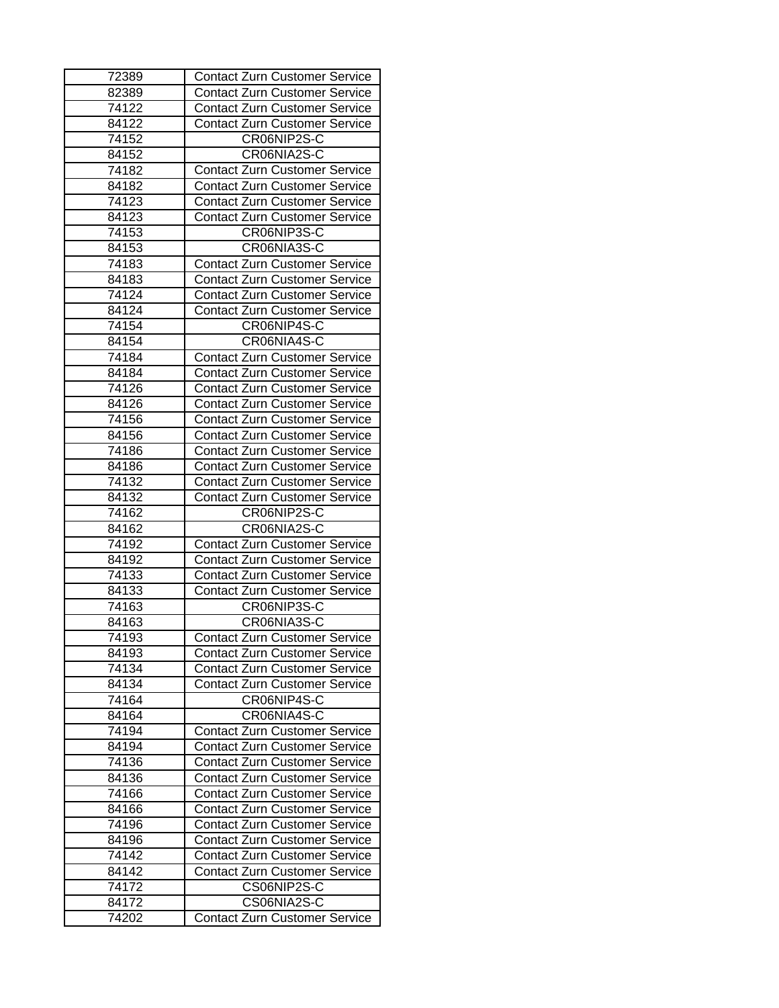| 72389 | <b>Contact Zurn Customer Service</b> |
|-------|--------------------------------------|
| 82389 | <b>Contact Zurn Customer Service</b> |
| 74122 | <b>Contact Zurn Customer Service</b> |
| 84122 | <b>Contact Zurn Customer Service</b> |
| 74152 | CR06NIP2S-C                          |
| 84152 | CR06NIA2S-C                          |
| 74182 | <b>Contact Zurn Customer Service</b> |
| 84182 | <b>Contact Zurn Customer Service</b> |
| 74123 | <b>Contact Zurn Customer Service</b> |
| 84123 | <b>Contact Zurn Customer Service</b> |
| 74153 | CR06NIP3S-C                          |
| 84153 | CR06NIA3S-C                          |
| 74183 | <b>Contact Zurn Customer Service</b> |
| 84183 | <b>Contact Zurn Customer Service</b> |
| 74124 | <b>Contact Zurn Customer Service</b> |
| 84124 | <b>Contact Zurn Customer Service</b> |
| 74154 | CR06NIP4S-C                          |
| 84154 | CR06NIA4S-C                          |
| 74184 | <b>Contact Zurn Customer Service</b> |
| 84184 | <b>Contact Zurn Customer Service</b> |
| 74126 | <b>Contact Zurn Customer Service</b> |
| 84126 | <b>Contact Zurn Customer Service</b> |
| 74156 | <b>Contact Zurn Customer Service</b> |
| 84156 | <b>Contact Zurn Customer Service</b> |
| 74186 |                                      |
| 84186 | <b>Contact Zurn Customer Service</b> |
|       | <b>Contact Zurn Customer Service</b> |
| 74132 | <b>Contact Zurn Customer Service</b> |
| 84132 | <b>Contact Zurn Customer Service</b> |
| 74162 | CR06NIP2S-C                          |
| 84162 | CR06NIA2S-C                          |
| 74192 | <b>Contact Zurn Customer Service</b> |
| 84192 | <b>Contact Zurn Customer Service</b> |
| 74133 | <b>Contact Zurn Customer Service</b> |
| 84133 | <b>Contact Zurn Customer Service</b> |
| 74163 | CR06NIP3S-C                          |
| 84163 | CR06NIA3S-C                          |
| 74193 | <b>Contact Zurn Customer Service</b> |
| 84193 | <b>Contact Zurn Customer Service</b> |
| 74134 | <b>Contact Zurn Customer Service</b> |
| 84134 | <b>Contact Zurn Customer Service</b> |
| 74164 | CR06NIP4S-C                          |
| 84164 | CR06NIA4S-C                          |
| 74194 | <b>Contact Zurn Customer Service</b> |
| 84194 | <b>Contact Zurn Customer Service</b> |
| 74136 | <b>Contact Zurn Customer Service</b> |
| 84136 | <b>Contact Zurn Customer Service</b> |
| 74166 | <b>Contact Zurn Customer Service</b> |
| 84166 | <b>Contact Zurn Customer Service</b> |
| 74196 | <b>Contact Zurn Customer Service</b> |
| 84196 | <b>Contact Zurn Customer Service</b> |
| 74142 | <b>Contact Zurn Customer Service</b> |
| 84142 | <b>Contact Zurn Customer Service</b> |
| 74172 | CS06NIP2S-C                          |
| 84172 | CS06NIA2S-C                          |
| 74202 | <b>Contact Zurn Customer Service</b> |
|       |                                      |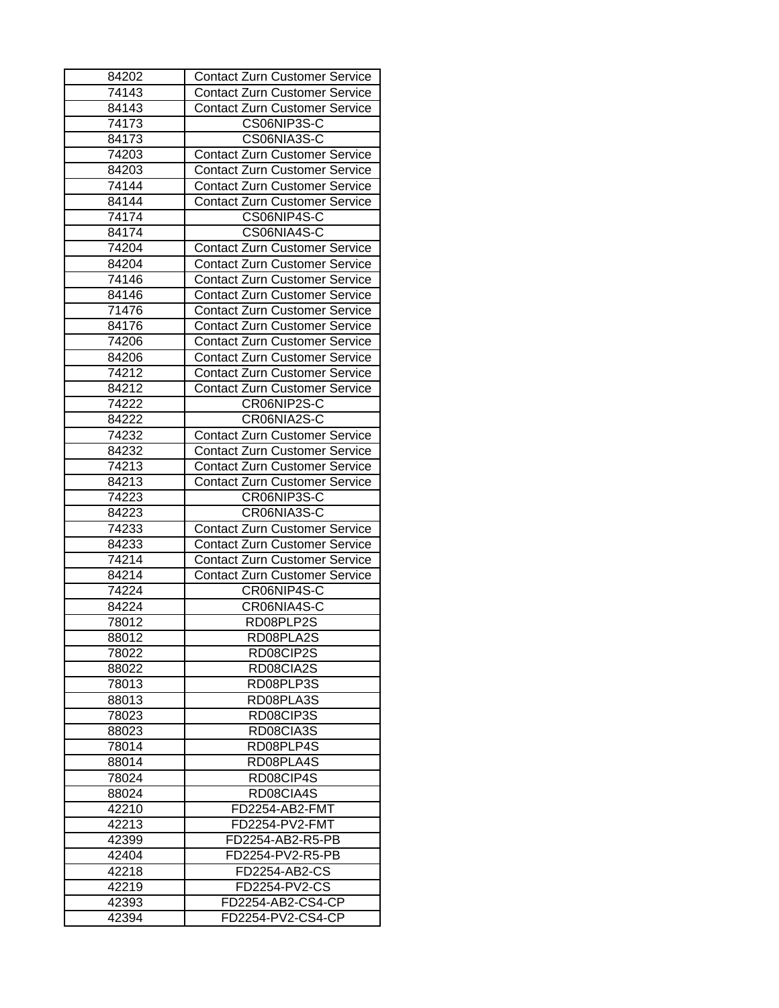| 84202 | <b>Contact Zurn Customer Service</b>                                         |
|-------|------------------------------------------------------------------------------|
| 74143 | <b>Contact Zurn Customer Service</b>                                         |
| 84143 | <b>Contact Zurn Customer Service</b>                                         |
| 74173 | CS06NIP3S-C                                                                  |
| 84173 | CS06NIA3S-C                                                                  |
| 74203 | <b>Contact Zurn Customer Service</b>                                         |
| 84203 | <b>Contact Zurn Customer Service</b>                                         |
| 74144 | <b>Contact Zurn Customer Service</b>                                         |
| 84144 | <b>Contact Zurn Customer Service</b>                                         |
| 74174 | CS06NIP4S-C                                                                  |
| 84174 | CS06NIA4S-C                                                                  |
| 74204 | <b>Contact Zurn Customer Service</b>                                         |
| 84204 | <b>Contact Zurn Customer Service</b>                                         |
| 74146 | <b>Contact Zurn Customer Service</b>                                         |
| 84146 | <b>Contact Zurn Customer Service</b>                                         |
| 71476 | <b>Contact Zurn Customer Service</b>                                         |
| 84176 | <b>Contact Zurn Customer Service</b>                                         |
| 74206 | <b>Contact Zurn Customer Service</b>                                         |
| 84206 | <b>Contact Zurn Customer Service</b>                                         |
| 74212 | <b>Contact Zurn Customer Service</b>                                         |
| 84212 | Contact Zurn Customer Service                                                |
| 74222 | CR06NIP2S-C                                                                  |
| 84222 | CR06NIA2S-C                                                                  |
| 74232 | <b>Contact Zurn Customer Service</b>                                         |
| 84232 | <b>Contact Zurn Customer Service</b>                                         |
| 74213 | <b>Contact Zurn Customer Service</b>                                         |
| 84213 | <b>Contact Zurn Customer Service</b>                                         |
| 74223 | CR06NIP3S-C                                                                  |
| 84223 | CR06NIA3S-C                                                                  |
| 74233 |                                                                              |
| 84233 | <b>Contact Zurn Customer Service</b><br><b>Contact Zurn Customer Service</b> |
| 74214 |                                                                              |
| 84214 | <b>Contact Zurn Customer Service</b>                                         |
|       | <b>Contact Zurn Customer Service</b>                                         |
| 74224 | CR06NIP4S-C                                                                  |
| 84224 | CR06NIA4S-C                                                                  |
| 78012 | RD08PLP2S                                                                    |
| 88012 | RD08PLA2S                                                                    |
| 78022 | RD08CIP2S                                                                    |
| 88022 | RD08CIA2S                                                                    |
| 78013 | RD08PLP3S                                                                    |
| 88013 | RD08PLA3S                                                                    |
| 78023 | RD08CIP3S                                                                    |
| 88023 | RD08CIA3S                                                                    |
| 78014 | RD08PLP4S                                                                    |
| 88014 | RD08PLA4S                                                                    |
| 78024 | RD08CIP4S                                                                    |
| 88024 | RD08CIA4S                                                                    |
| 42210 | FD2254-AB2-FMT                                                               |
| 42213 | FD2254-PV2-FMT                                                               |
| 42399 | FD2254-AB2-R5-PB                                                             |
| 42404 | FD2254-PV2-R5-PB                                                             |
| 42218 | FD2254-AB2-CS                                                                |
| 42219 | FD2254-PV2-CS                                                                |
| 42393 | FD2254-AB2-CS4-CP                                                            |
| 42394 | FD2254-PV2-CS4-CP                                                            |